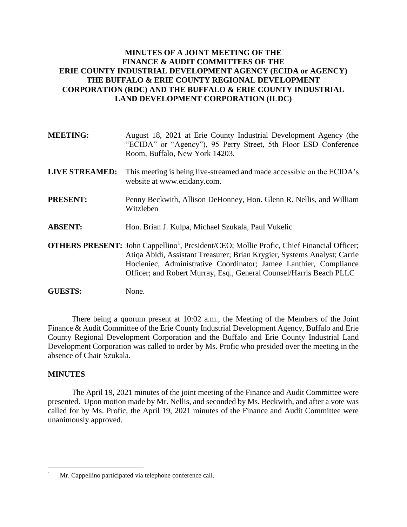# **MINUTES OF A JOINT MEETING OF THE FINANCE & AUDIT COMMITTEES OF THE ERIE COUNTY INDUSTRIAL DEVELOPMENT AGENCY (ECIDA or AGENCY) THE BUFFALO & ERIE COUNTY REGIONAL DEVELOPMENT CORPORATION (RDC) AND THE BUFFALO & ERIE COUNTY INDUSTRIAL LAND DEVELOPMENT CORPORATION (ILDC)**

| <b>MEETING:</b>       | August 18, 2021 at Erie County Industrial Development Agency (the<br>"ECIDA" or "Agency"), 95 Perry Street, 5th Floor ESD Conference<br>Room, Buffalo, New York 14203.                                                                                                                                                               |
|-----------------------|--------------------------------------------------------------------------------------------------------------------------------------------------------------------------------------------------------------------------------------------------------------------------------------------------------------------------------------|
| <b>LIVE STREAMED:</b> | This meeting is being live-streamed and made accessible on the ECIDA's<br>website at www.ecidany.com.                                                                                                                                                                                                                                |
| <b>PRESENT:</b>       | Penny Beckwith, Allison DeHonney, Hon. Glenn R. Nellis, and William<br>Witzleben                                                                                                                                                                                                                                                     |
| <b>ABSENT:</b>        | Hon. Brian J. Kulpa, Michael Szukala, Paul Vukelic                                                                                                                                                                                                                                                                                   |
|                       | <b>OTHERS PRESENT:</b> John Cappellino <sup>1</sup> , President/CEO; Mollie Profic, Chief Financial Officer;<br>Atiqa Abidi, Assistant Treasurer; Brian Krygier, Systems Analyst; Carrie<br>Hocieniec, Administrative Coordinator; Jamee Lanthier, Compliance<br>Officer; and Robert Murray, Esq., General Counsel/Harris Beach PLLC |
| <b>GUESTS:</b>        | None.                                                                                                                                                                                                                                                                                                                                |

There being a quorum present at 10:02 a.m., the Meeting of the Members of the Joint Finance & Audit Committee of the Erie County Industrial Development Agency, Buffalo and Erie County Regional Development Corporation and the Buffalo and Erie County Industrial Land Development Corporation was called to order by Ms. Profic who presided over the meeting in the absence of Chair Szukala.

#### **MINUTES**

 $\overline{a}$ 

The April 19, 2021 minutes of the joint meeting of the Finance and Audit Committee were presented. Upon motion made by Mr. Nellis, and seconded by Ms. Beckwith, and after a vote was called for by Ms. Profic, the April 19, 2021 minutes of the Finance and Audit Committee were unanimously approved.

<sup>&</sup>lt;sup>1</sup> Mr. Cappellino participated via telephone conference call.